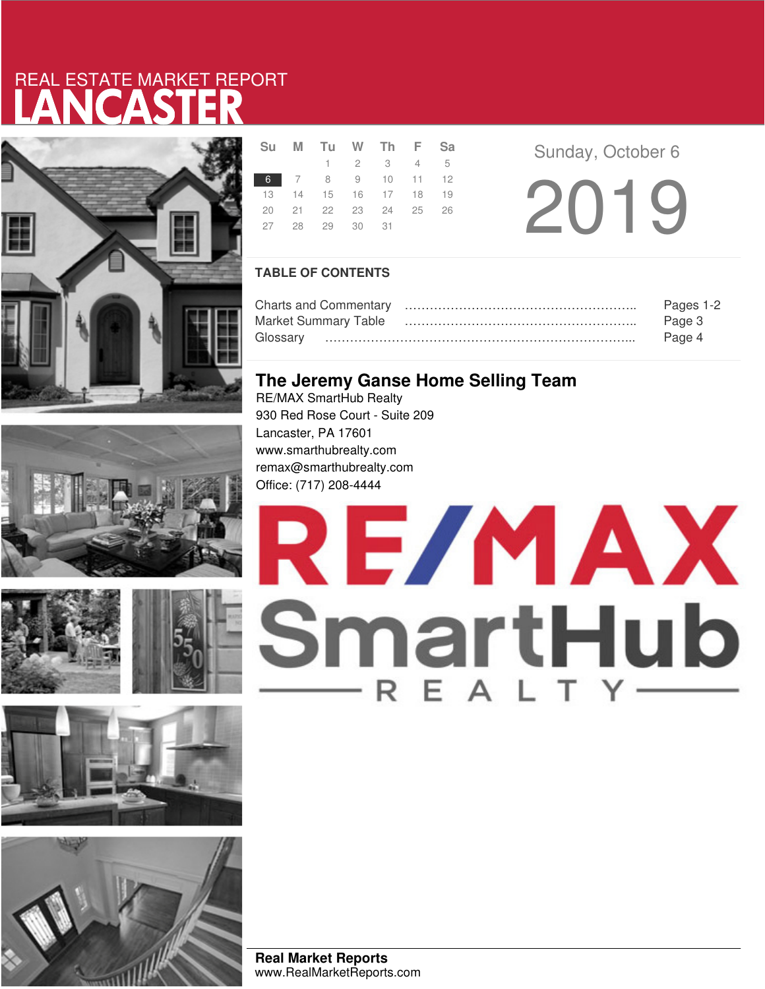# LANCASTER REAL ESTATE MARKET REPORT









|  | Su M Tu W Th F Sa          |                     |  |  |
|--|----------------------------|---------------------|--|--|
|  |                            | $1 \t2 \t3 \t4 \t5$ |  |  |
|  | 6 7 8 9 10 11 12           |                     |  |  |
|  | 13 14 15 16 17 18 19       |                     |  |  |
|  | 20  21  22  23  24  25  26 |                     |  |  |
|  | 27 28 29 30 31             |                     |  |  |
|  |                            |                     |  |  |

2019 **Sunday, October 6** 

### **TABLE OF CONTENTS**

|                      | Pages 1-2 |
|----------------------|-----------|
| Market Summary Table | Page 3    |
|                      | Page 4    |

## **The Jeremy Ganse Home Selling Team**

RE/MAX SmartHub Realty 930 Red Rose Court - Suite 209 Lancaster, PA 17601 www.smarthubrealty.com remax@smarthubrealty.com Office: (717) 208-4444



**Real Market Reports** www.RealMarketReports.com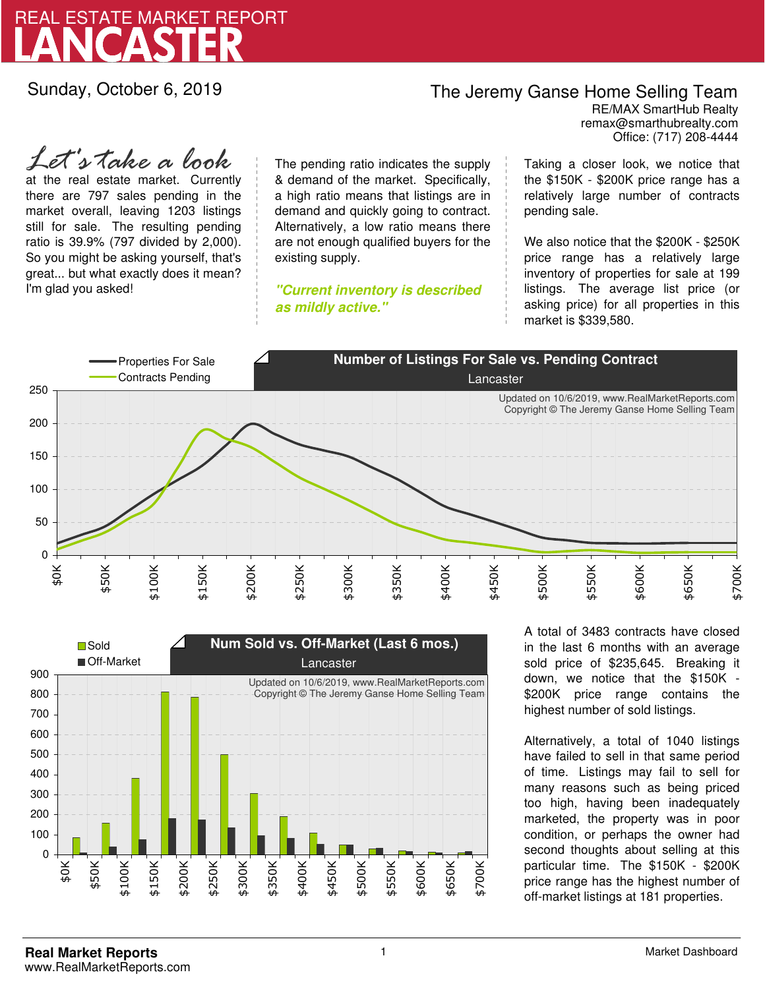

Sunday, October 6, 2019

## The Jeremy Ganse Home Selling Team

remax@smarthubrealty.com RE/MAX SmartHub Realty Office: (717) 208-4444

at the real estate market. Currently there are 797 sales pending in the market overall, leaving 1203 listings still for sale. The resulting pending ratio is 39.9% (797 divided by 2,000). So you might be asking yourself, that's great... but what exactly does it mean? I'm glad you asked! *Let's take a look*

The pending ratio indicates the supply & demand of the market. Specifically, a high ratio means that listings are in demand and quickly going to contract. Alternatively, a low ratio means there are not enough qualified buyers for the existing supply.

**"Current inventory is described as mildly active."**

Taking a closer look, we notice that the \$150K - \$200K price range has a relatively large number of contracts pending sale.

We also notice that the \$200K - \$250K price range has a relatively large inventory of properties for sale at 199 listings. The average list price (or asking price) for all properties in this market is \$339,580.





A total of 3483 contracts have closed in the last 6 months with an average sold price of \$235,645. Breaking it down, we notice that the \$150K - \$200K price range contains the highest number of sold listings.

Alternatively, a total of 1040 listings have failed to sell in that same period of time. Listings may fail to sell for many reasons such as being priced too high, having been inadequately marketed, the property was in poor condition, or perhaps the owner had second thoughts about selling at this particular time. The \$150K - \$200K price range has the highest number of off-market listings at 181 properties.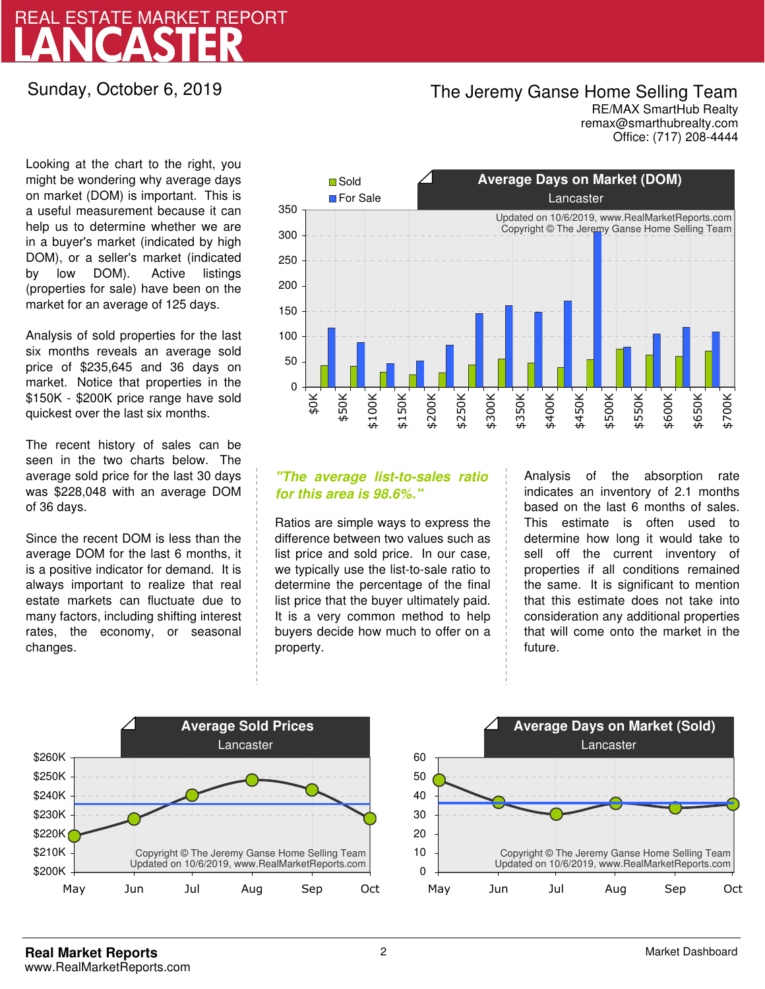# LANCASTER REAL ESTATE MARKET REPORT

### Sunday, October 6, 2019

## The Jeremy Ganse Home Selling Team

remax@smarthubrealty.com RE/MAX SmartHub Realty Office: (717) 208-4444

Looking at the chart to the right, you might be wondering why average days on market (DOM) is important. This is a useful measurement because it can help us to determine whether we are in a buyer's market (indicated by high DOM), or a seller's market (indicated by low DOM). Active listings (properties for sale) have been on the market for an average of 125 days.

Analysis of sold properties for the last six months reveals an average sold price of \$235,645 and 36 days on market. Notice that properties in the \$150K - \$200K price range have sold quickest over the last six months.

The recent history of sales can be seen in the two charts below. The average sold price for the last 30 days was \$228,048 with an average DOM of 36 days.

Since the recent DOM is less than the average DOM for the last 6 months, it is a positive indicator for demand. It is always important to realize that real estate markets can fluctuate due to many factors, including shifting interest rates, the economy, or seasonal changes.



### **"The average list-to-sales ratio for this area is 98.6%."**

Ratios are simple ways to express the difference between two values such as list price and sold price. In our case, we typically use the list-to-sale ratio to determine the percentage of the final list price that the buyer ultimately paid. It is a very common method to help buyers decide how much to offer on a property.

Analysis of the absorption rate indicates an inventory of 2.1 months based on the last 6 months of sales. This estimate is often used to determine how long it would take to sell off the current inventory of properties if all conditions remained the same. It is significant to mention that this estimate does not take into consideration any additional properties that will come onto the market in the future.



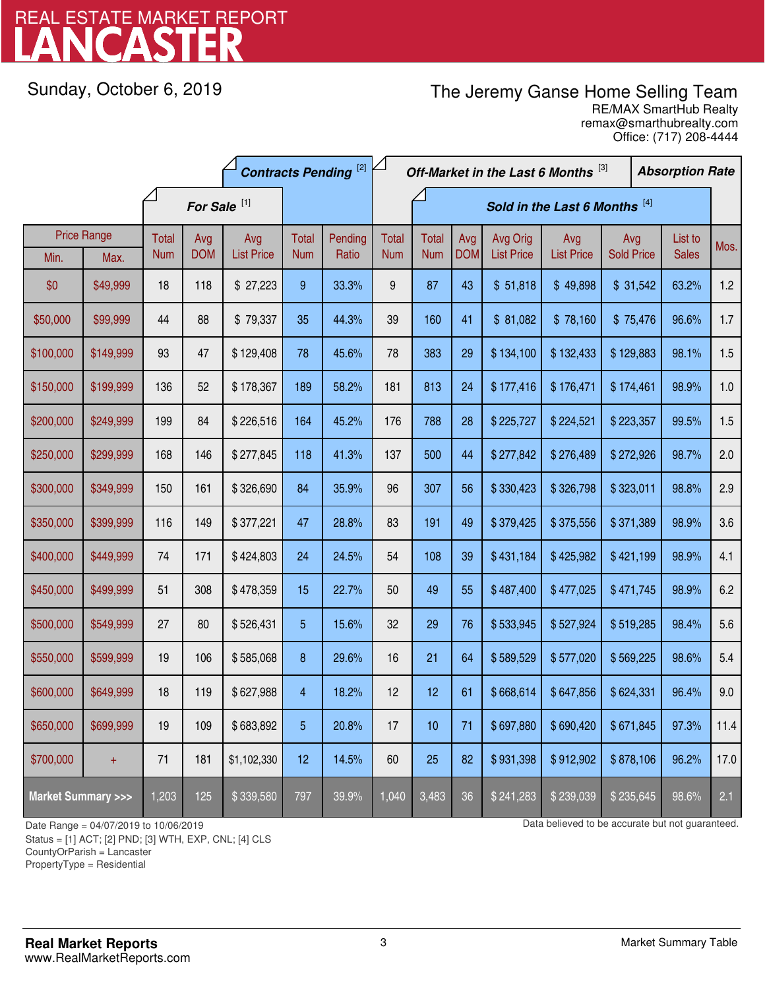# LANCASTER REAL ESTATE MARKET REPORT

Sunday, October 6, 2019

# The Jeremy Ganse Home Selling Team

remax@smarthubrealty.com RE/MAX SmartHub Realty Office: (717) 208-4444

|                                    |                    | <b>Contracts Pending [2]</b> |            |                   |                         | Off-Market in the Last 6 Months [3] |              |              |            |                   | <b>Absorption Rate</b> |                   |                   |              |      |
|------------------------------------|--------------------|------------------------------|------------|-------------------|-------------------------|-------------------------------------|--------------|--------------|------------|-------------------|------------------------|-------------------|-------------------|--------------|------|
|                                    |                    | For Sale <sup>[1]</sup>      |            |                   |                         | Sold in the Last 6 Months [4]       |              |              |            |                   |                        |                   |                   |              |      |
|                                    | <b>Price Range</b> | Total                        | Avg        | Avg               | <b>Total</b>            | Pending                             | <b>Total</b> | <b>Total</b> | Avg        | Avg Orig          | Avg                    | Avg               |                   | List to      | Mos. |
| Min.                               | Max.               | <b>Num</b>                   | <b>DOM</b> | <b>List Price</b> | <b>Num</b>              | Ratio                               | <b>Num</b>   | <b>Num</b>   | <b>DOM</b> | <b>List Price</b> | <b>List Price</b>      | <b>Sold Price</b> |                   | <b>Sales</b> |      |
| \$0                                | \$49,999           | 18                           | 118        | \$27,223          | 9                       | 33.3%                               | 9            | 87           | 43         | \$51,818          | \$49,898               | \$31,542          |                   | 63.2%        | 1.2  |
| \$50,000                           | \$99,999           | 44                           | 88         | \$79,337          | 35                      | 44.3%                               | 39           | 160          | 41         | \$81,082          | \$78,160               |                   | 96.6%<br>\$75,476 |              | 1.7  |
| \$100,000                          | \$149,999          | 93                           | 47         | \$129,408         | 78                      | 45.6%                               | 78           | 383          | 29         | \$134,100         | \$132,433              | \$129,883         | 98.1%             |              | 1.5  |
| \$150,000                          | \$199,999          | 136                          | 52         | \$178,367         | 189                     | 58.2%                               | 181          | 813          | 24         | \$177,416         | \$176,471              | \$174,461         |                   | 98.9%        | 1.0  |
| \$200,000                          | \$249,999          | 199                          | 84         | \$226,516         | 164                     | 45.2%                               | 176          | 788          | 28         | \$225,727         | \$224,521              | \$223,357         |                   | 99.5%        | 1.5  |
| \$250,000                          | \$299,999          | 168                          | 146        | \$277,845         | 118                     | 41.3%                               | 137          | 500          | 44         | \$277,842         | \$276,489              | \$272,926         |                   | 98.7%        | 2.0  |
| \$300,000                          | \$349,999          | 150                          | 161        | \$326,690         | 84                      | 35.9%                               | 96           | 307          | 56         | \$330,423         | \$326,798              | \$323,011         |                   | 98.8%        | 2.9  |
| \$350,000                          | \$399,999          | 116                          | 149        | \$377,221         | 47                      | 28.8%                               | 83           | 191          | 49         | \$379,425         | \$375,556              | \$371,389         |                   | 98.9%        | 3.6  |
| \$400,000                          | \$449,999          | 74                           | 171        | \$424,803         | 24                      | 24.5%                               | 54           | 108          | 39         | \$431,184         | \$425,982              | \$421,199         |                   | 98.9%        | 4.1  |
| \$450,000                          | \$499,999          | 51                           | 308        | \$478,359         | 15                      | 22.7%                               | 50           | 49           | 55         | \$487,400         | \$477,025              | \$471,745         |                   | 98.9%        | 6.2  |
| \$500,000                          | \$549,999          | 27                           | 80         | \$526,431         | 5                       | 15.6%                               | 32           | 29           | 76         | \$533,945         | \$527,924              | \$519,285         |                   | 98.4%        | 5.6  |
| \$550,000                          | \$599,999          | 19                           | 106        | \$585,068         | 8                       | 29.6%                               | 16           | 21           | 64         | \$589,529         | \$577,020              | \$569,225         |                   | 98.6%        | 5.4  |
| \$600,000                          | \$649,999          | 18                           | 119        | \$627,988         | $\overline{\mathbf{4}}$ | 18.2%                               | 12           | 12           | 61         | \$668,614         | \$647,856              | \$624,331         |                   | 96.4%        | 9.0  |
| \$650,000                          | \$699,999          | 19                           | 109        | \$683,892         | 5                       | 20.8%                               | 17           | 10           | 71         | \$697,880         | \$690,420              | \$671,845         |                   | 97.3%        | 11.4 |
| \$700,000                          | $+$                | 71                           | 181        | \$1,102,330       | 12                      | 14.5%                               | 60           | 25           | 82         | \$931,398         | \$912,902              | \$878,106         |                   | 96.2%        | 17.0 |
| <b>Market Summary &gt;&gt;&gt;</b> |                    | 1,203                        | 125        | \$339,580         | 797                     | 39.9%                               | 1,040        | 3,483        | 36         | \$241,283         | \$239,039              | \$235,645         |                   | 98.6%        | 2.1  |

Status = [1] ACT; [2] PND; [3] WTH, EXP, CNL; [4] CLS

CountyOrParish = Lancaster

PropertyType = Residential

1

Date Range = 04/07/2019 to 10/06/2019 Data believed to be accurate but not guaranteed.